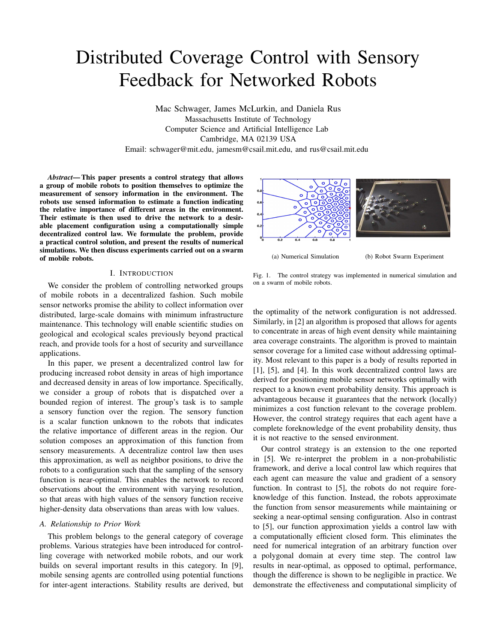# Distributed Coverage Control with Sensory Feedback for Networked Robots

Mac Schwager, James McLurkin, and Daniela Rus Massachusetts Institute of Technology Computer Science and Artificial Intelligence Lab Cambridge, MA 02139 USA Email: schwager@mit.edu, jamesm@csail.mit.edu, and rus@csail.mit.edu

*Abstract***—This paper presents a control strategy that allows a group of mobile robots to position themselves to optimize the measurement of sensory information in the environment. The robots use sensed information to estimate a function indicating the relative importance of different areas in the environment. Their estimate is then used to drive the network to a desirable placement configuration using a computationally simple decentralized control law. We formulate the problem, provide a practical control solution, and present the results of numerical simulations. We then discuss experiments carried out on a swarm of mobile robots.**

## I. INTRODUCTION

We consider the problem of controlling networked groups of mobile robots in a decentralized fashion. Such mobile sensor networks promise the ability to collect information over distributed, large-scale domains with minimum infrastructure maintenance. This technology will enable scientific studies on geological and ecological scales previously beyond practical reach, and provide tools for a host of security and surveillance applications.

In this paper, we present a decentralized control law for producing increased robot density in areas of high importance and decreased density in areas of low importance. Specifically, we consider a group of robots that is dispatched over a bounded region of interest. The group's task is to sample a sensory function over the region. The sensory function is a scalar function unknown to the robots that indicates the relative importance of different areas in the region. Our solution composes an approximation of this function from sensory measurements. A decentralize control law then uses this approximation, as well as neighbor positions, to drive the robots to a configuration such that the sampling of the sensory function is near-optimal. This enables the network to record observations about the environment with varying resolution, so that areas with high values of the sensory function receive higher-density data observations than areas with low values.

#### *A. Relationship to Prior Work*

This problem belongs to the general category of coverage problems. Various strategies have been introduced for controlling coverage with networked mobile robots, and our work builds on several important results in this category. In [9], mobile sensing agents are controlled using potential functions for inter-agent interactions. Stability results are derived, but



(a) Numerical Simulation (b) Robot Swarm Experiment

Fig. 1. The control strategy was implemented in numerical simulation and on a swarm of mobile robots.

the optimality of the network configuration is not addressed. Similarly, in [2] an algorithm is proposed that allows for agents to concentrate in areas of high event density while maintaining area coverage constraints. The algorithm is proved to maintain sensor coverage for a limited case without addressing optimality. Most relevant to this paper is a body of results reported in [1], [5], and [4]. In this work decentralized control laws are derived for positioning mobile sensor networks optimally with respect to a known event probability density. This approach is advantageous because it guarantees that the network (locally) minimizes a cost function relevant to the coverage problem. However, the control strategy requires that each agent have a complete foreknowledge of the event probability density, thus it is not reactive to the sensed environment.

Our control strategy is an extension to the one reported in [5]. We re-interpret the problem in a non-probabilistic framework, and derive a local control law which requires that each agent can measure the value and gradient of a sensory function. In contrast to [5], the robots do not require foreknowledge of this function. Instead, the robots approximate the function from sensor measurements while maintaining or seeking a near-optimal sensing configuration. Also in contrast to [5], our function approximation yields a control law with a computationally efficient closed form. This eliminates the need for numerical integration of an arbitrary function over a polygonal domain at every time step. The control law results in near-optimal, as opposed to optimal, performance, though the difference is shown to be negligible in practice. We demonstrate the effectiveness and computational simplicity of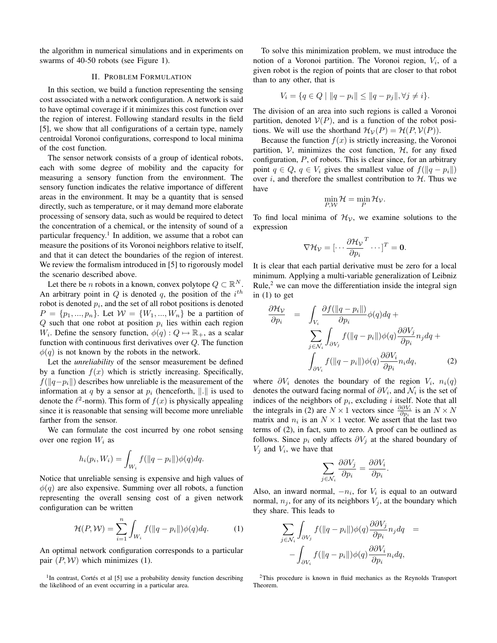the algorithm in numerical simulations and in experiments on swarms of 40-50 robots (see Figure 1).

## II. PROBLEM FORMULATION

In this section, we build a function representing the sensing cost associated with a network configuration. A network is said to have optimal coverage if it minimizes this cost function over the region of interest. Following standard results in the field [5], we show that all configurations of a certain type, namely centroidal Voronoi configurations, correspond to local minima of the cost function.

The sensor network consists of a group of identical robots, each with some degree of mobility and the capacity for measuring a sensory function from the environment. The sensory function indicates the relative importance of different areas in the environment. It may be a quantity that is sensed directly, such as temperature, or it may demand more elaborate processing of sensory data, such as would be required to detect the concentration of a chemical, or the intensity of sound of a particular frequency.<sup>1</sup> In addition, we assume that a robot can measure the positions of its Voronoi neighbors relative to itself, and that it can detect the boundaries of the region of interest. We review the formalism introduced in [5] to rigorously model the scenario described above.

Let there be *n* robots in a known, convex polytope  $Q \subset \mathbb{R}^N$ . An arbitrary point in  $Q$  is denoted  $q$ , the position of the  $i^{th}$ robot is denoted  $p_i$ , and the set of all robot positions is denoted  $P = \{p_1, ..., p_n\}$ . Let  $W = \{W_1, ..., W_n\}$  be a partition of  $Q$  such that one robot at position  $p_i$  lies within each region W<sub>i</sub>. Define the sensory function,  $\phi(q) : Q \mapsto \mathbb{R}_+$ , as a scalar function with continuous first derivatives over Q. The function  $\phi(q)$  is not known by the robots in the network.

Let the *unreliability* of the sensor measurement be defined by a function  $f(x)$  which is strictly increasing. Specifically,  $f(||q-p_i||)$  describes how unreliable is the measurement of the information at q by a sensor at  $p_i$  (henceforth,  $\Vert . \Vert$  is used to denote the  $\ell^2$ -norm). This form of  $f(x)$  is physically appealing since it is reasonable that sensing will become more unreliable farther from the sensor.

We can formulate the cost incurred by one robot sensing over one region  $W_i$  as

$$
h_i(p_i, W_i) = \int_{W_i} f(||q - p_i||) \phi(q) dq.
$$

Notice that unreliable sensing is expensive and high values of  $\phi(q)$  are also expensive. Summing over all robots, a function representing the overall sensing cost of a given network configuration can be written

$$
\mathcal{H}(P,\mathcal{W}) = \sum_{i=1}^{n} \int_{W_i} f(||q - p_i||) \phi(q) dq.
$$
 (1)

An optimal network configuration corresponds to a particular pair  $(P, W)$  which minimizes (1).

<sup>1</sup>In contrast, Cortés et al [5] use a probability density function describing the likelihood of an event occurring in a particular area.

To solve this minimization problem, we must introduce the notion of a Voronoi partition. The Voronoi region,  $V_i$ , of a given robot is the region of points that are closer to that robot than to any other, that is

$$
V_i = \{ q \in Q \mid ||q - p_i|| \le ||q - p_j||, \forall j \neq i \}.
$$

The division of an area into such regions is called a Voronoi partition, denoted  $V(P)$ , and is a function of the robot positions. We will use the shorthand  $\mathcal{H}_{\mathcal{V}}(P) = \mathcal{H}(P, \mathcal{V}(P)).$ 

Because the function  $f(x)$  is strictly increasing, the Voronoi partition,  $V$ , minimizes the cost function,  $H$ , for any fixed configuration, P, of robots. This is clear since, for an arbitrary point  $q \in Q$ ,  $q \in V_i$  gives the smallest value of  $f(\Vert q - p_i \Vert)$ over i, and therefore the smallest contribution to  $H$ . Thus we have

$$
\min_{P,W} \mathcal{H} = \min_{P} \mathcal{H}_{\mathcal{V}}.
$$

To find local minima of  $\mathcal{H}_{\mathcal{V}}$ , we examine solutions to the expression

$$
\nabla \mathcal{H}_{\mathcal{V}} = [\cdots \frac{\partial \mathcal{H}_{\mathcal{V}}}{\partial p_i}^T \cdots]^T = \mathbf{0}.
$$

It is clear that each partial derivative must be zero for a local minimum. Applying a multi-variable generalization of Leibniz Rule, $2$  we can move the differentiation inside the integral sign in (1) to get

$$
\frac{\partial \mathcal{H}_{\mathcal{V}}}{\partial p_i} = \int_{V_i} \frac{\partial f(||q - p_i||)}{\partial p_i} \phi(q) dq + \sum_{j \in \mathcal{N}_i} \int_{\partial V_j} f(||q - p_i||) \phi(q) \frac{\partial \partial V_j}{\partial p_i} n_j dq + \int_{\partial V_i} f(||q - p_i||) \phi(q) \frac{\partial \partial V_i}{\partial p_i} n_i dq, \tag{2}
$$

where  $\partial V_i$  denotes the boundary of the region  $V_i$ ,  $n_i(q)$ denotes the outward facing normal of  $\partial V_i$ , and  $\mathcal{N}_i$  is the set of indices of the neighbors of  $p_i$ , excluding i itself. Note that all the integrals in (2) are  $N \times 1$  vectors since  $\frac{\partial \partial V_i}{\partial p_i}$  is an  $N \times N$ matrix and  $n_i$  is an  $N \times 1$  vector. We assert that the last two terms of (2), in fact, sum to zero. A proof can be outlined as follows. Since  $p_i$  only affects  $\partial V_j$  at the shared boundary of  $V_j$  and  $V_i$ , we have that

$$
\sum_{j \in \mathcal{N}_i} \frac{\partial \partial V_j}{\partial p_i} = \frac{\partial \partial V_i}{\partial p_i}.
$$

Also, an inward normal,  $-n_i$ , for  $V_i$  is equal to an outward normal,  $n_j$ , for any of its neighbors  $V_j$ , at the boundary which they share. This leads to

$$
\sum_{j \in \mathcal{N}_i} \int_{\partial V_j} f(\|q - p_i\|) \phi(q) \frac{\partial \partial V_j}{\partial p_i} n_j dq = - \int_{\partial V_i} f(\|q - p_i\|) \phi(q) \frac{\partial \partial V_i}{\partial p_i} n_i dq,
$$

<sup>2</sup>This procedure is known in fluid mechanics as the Reynolds Transport Theorem.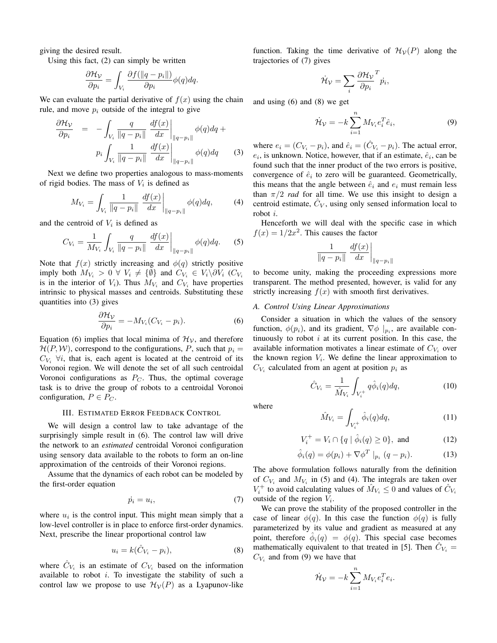giving the desired result.

Using this fact, (2) can simply be written

$$
\frac{\partial \mathcal{H}_\mathcal{V}}{\partial p_i} = \int_{V_i} \frac{\partial f(\|q - p_i\|)}{\partial p_i} \phi(q) dq.
$$

We can evaluate the partial derivative of  $f(x)$  using the chain rule, and move  $p_i$  outside of the integral to give

$$
\frac{\partial \mathcal{H}_{\mathcal{V}}}{\partial p_i} = -\int_{V_i} \frac{q}{\|q - p_i\|} \left. \frac{df(x)}{dx} \right|_{\|q - p_i\|} \phi(q) dq +
$$
\n
$$
p_i \int_{V_i} \frac{1}{\|q - p_i\|} \left. \frac{df(x)}{dx} \right|_{\|q - p_i\|} \phi(q) dq \qquad (3)
$$

Next we define two properties analogous to mass-moments of rigid bodies. The mass of  $V_i$  is defined as

$$
M_{V_i} = \int_{V_i} \frac{1}{\|q - p_i\|} \left. \frac{df(x)}{dx} \right|_{\|q - p_i\|} \phi(q) dq, \tag{4}
$$

and the centroid of  $V_i$  is defined as

$$
C_{V_i} = \frac{1}{M_{V_i}} \int_{V_i} \frac{q}{\|q - p_i\|} \left. \frac{df(x)}{dx} \right|_{\|q - p_i\|} \phi(q) dq. \tag{5}
$$

Note that  $f(x)$  strictly increasing and  $\phi(q)$  strictly positive imply both  $M_{V_i} > 0 \ \forall \ V_i \neq \{\emptyset\}$  and  $C_{V_i} \in V_i \backslash \partial V_i$  ( $C_{V_i}$ is in the interior of  $V_i$ ). Thus  $M_{V_i}$  and  $C_{V_i}$  have properties intrinsic to physical masses and centroids. Substituting these quantities into (3) gives

$$
\frac{\partial \mathcal{H}_\mathcal{V}}{\partial p_i} = -M_{V_i}(C_{V_i} - p_i). \tag{6}
$$

Equation (6) implies that local minima of  $\mathcal{H}_{\mathcal{V}}$ , and therefore  $\mathcal{H}(P, \mathcal{W})$ , correspond to the configurations, P, such that  $p_i =$  $C_{V_i}$   $\forall i$ , that is, each agent is located at the centroid of its Voronoi region. We will denote the set of all such centroidal Voronoi configurations as  $P_C$ . Thus, the optimal coverage task is to drive the group of robots to a centroidal Voronoi configuration,  $P \in P_C$ .

#### III. ESTIMATED ERROR FEEDBACK CONTROL

We will design a control law to take advantage of the surprisingly simple result in (6). The control law will drive the network to an *estimated* centroidal Voronoi configuration using sensory data available to the robots to form an on-line approximation of the centroids of their Voronoi regions.

Assume that the dynamics of each robot can be modeled by the first-order equation

$$
\dot{p}_i = u_i,\tag{7}
$$

where  $u_i$  is the control input. This might mean simply that a low-level controller is in place to enforce first-order dynamics. Next, prescribe the linear proportional control law

$$
u_i = k(\hat{C}_{V_i} - p_i), \tag{8}
$$

where  $\hat{C}_{V_i}$  is an estimate of  $C_{V_i}$  based on the information available to robot  $i$ . To investigate the stability of such a control law we propose to use  $\mathcal{H}_{\mathcal{V}}(P)$  as a Lyapunov-like

function. Taking the time derivative of  $\mathcal{H}_{\mathcal{V}}(P)$  along the trajectories of (7) gives

$$
\dot{\mathcal{H}}_{\mathcal{V}} = \sum_{i} \frac{\partial \mathcal{H}_{\mathcal{V}}}{\partial p_i}^T \dot{p}_i,
$$

and using (6) and (8) we get

$$
\dot{\mathcal{H}}_{\mathcal{V}} = -k \sum_{i=1}^{n} M_{V_i} e_i^T \hat{e}_i, \tag{9}
$$

where  $e_i = (C_{V_i} - p_i)$ , and  $\hat{e}_i = (\hat{C}_{V_i} - p_i)$ . The actual error,  $e_i$ , is unknown. Notice, however, that if an estimate,  $\hat{e}_i$ , can be found such that the inner product of the two errors is positive, convergence of  $\hat{e}_i$  to zero will be guaranteed. Geometrically, this means that the angle between  $\hat{e}_i$  and  $e_i$  must remain less than  $\pi/2$  *rad* for all time. We use this insight to design a centroid estimate,  $\hat{C}_V$ , using only sensed information local to robot i.

Henceforth we will deal with the specific case in which  $f(x) = 1/2x^2$ . This causes the factor

$$
\frac{1}{\|q-p_i\|} \left. \frac{df(x)}{dx} \right|_{\|q-p_i\|}
$$

to become unity, making the proceeding expressions more transparent. The method presented, however, is valid for any strictly increasing  $f(x)$  with smooth first derivatives.

## *A. Control Using Linear Approximations*

Consider a situation in which the values of the sensory function,  $\phi(p_i)$ , and its gradient,  $\nabla \phi |_{p_i}$ , are available continuously to robot  $i$  at its current position. In this case, the available information motivates a linear estimate of  $C_{V_i}$  over the known region  $V_i$ . We define the linear approximation to  $C_{V_i}$  calculated from an agent at position  $p_i$  as

$$
\hat{C}_{V_i} = \frac{1}{\hat{M}_{V_i}} \int_{V_i^+} q \hat{\phi}_i(q) dq, \qquad (10)
$$

where

$$
\hat{M}_{V_i} = \int_{V_i^+} \hat{\phi}_i(q) dq,\tag{11}
$$

$$
V_i^+ = V_i \cap \{q \mid \hat{\phi}_i(q) \ge 0\}, \text{ and } (12)
$$

$$
\hat{\phi}_i(q) = \phi(p_i) + \nabla \phi^T \mid_{p_i} (q - p_i). \tag{13}
$$

The above formulation follows naturally from the definition of  $C_{V_i}$  and  $M_{V_i}$  in (5) and (4). The integrals are taken over  $V_i^+$  to avoid calculating values of  $\hat{M}_{V_i} \leq 0$  and values of  $\hat{C}_{V_i}$ outside of the region  $V_i$ .

We can prove the stability of the proposed controller in the case of linear  $\phi(q)$ . In this case the function  $\phi(q)$  is fully parameterized by its value and gradient as measured at any point, therefore  $\hat{\phi}_i(q) = \phi(q)$ . This special case becomes mathematically equivalent to that treated in [5]. Then  $\hat{C}_{V_i} =$  $C_{V_i}$  and from (9) we have that

$$
\dot{\mathcal{H}}_{\mathcal{V}} = -k \sum_{i=1}^{n} M_{V_i} e_i^T e_i.
$$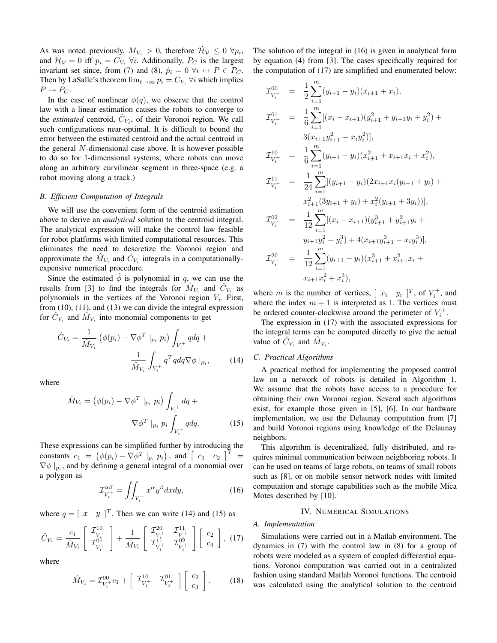As was noted previously,  $M_{V_i} > 0$ , therefore  $\mathcal{H}_V \leq 0 \ \forall p_i$ , and  $\mathcal{H}_{\mathcal{V}} = 0$  iff  $p_i = C_{V_i} \ \forall i$ . Additionally,  $P_C$  is the largest invariant set since, from (7) and (8),  $\dot{p}_i = 0 \ \forall i \leftrightarrow P \in P_C$ . Then by LaSalle's theorem  $\lim_{t\to\infty} p_i = C_{V_i}$   $\forall i$  which implies  $P \rightarrow P_C$ .

In the case of nonlinear  $\phi(q)$ , we observe that the control law with a linear estimation causes the robots to converge to the *estimated* centroid,  $\hat{C}_{V_i}$ , of their Voronoi region. We call such configurations near-optimal. It is difficult to bound the error between the estimated centroid and the actual centroid in the general N-dimensional case above. It is however possible to do so for 1-dimensional systems, where robots can move along an arbitrary curvilinear segment in three-space (e.g. a robot moving along a track.)

#### *B. Efficient Computation of Integrals*

We will use the convenient form of the centroid estimation above to derive an *analytical* solution to the centroid integral. The analytical expression will make the control law feasible for robot platforms with limited computational resources. This eliminates the need to descretize the Voronoi region and approximate the  $\hat{M}_{V_i}$  and  $\hat{C}_{V_i}$  integrals in a computationallyexpensive numerical procedure.

Since the estimated  $\phi$  is polynomial in q, we can use the results from [3] to find the integrals for  $\hat{M}_{V_i}$  and  $\hat{C}_{V_i}$  as polynomials in the vertices of the Voronoi region  $V_i$ . First, from (10), (11), and (13) we can divide the integral expression for  $\hat{C}_{V_i}$  and  $\hat{M}_{V_i}$  into monomial components to get

$$
\hat{C}_{V_i} = \frac{1}{\hat{M}_{V_i}} \left( \phi(p_i) - \nabla \phi^T \mid_{p_i} p_i \right) \int_{V_i^+} q dq + \frac{1}{\hat{M}_{V_i}} \int_{V_i^+} q^T q dq \nabla \phi \mid_{p_i}, \tag{14}
$$

where

$$
\hat{M}_{V_i} = \left(\phi(p_i) - \nabla\phi^T \big|_{p_i} p_i\right) \int_{V_i^+} dq + \nabla\phi^T \big|_{p_i} p_i \int_{V_i^+} q dq. \tag{15}
$$

These expressions can be simplified further by introducing the constants  $c_1 = (\phi(p_i) - \nabla \phi^T |_{p_i} p_i)$ , and  $\begin{bmatrix} c_1 & c_2 \end{bmatrix}^T =$  $\nabla \phi |_{p_i}$ , and by defining a general integral of a monomial over a polygon as

$$
\mathcal{I}_{V_i^+}^{\alpha\beta} = \iint_{V_i^+} x^{\alpha} y^{\beta} dx dy,
$$
 (16)

where  $q = [x \ y]^T$ . Then we can write (14) and (15) as

$$
\hat{C}_{V_i} = \frac{c_1}{\hat{M}_{V_i}} \left[ \begin{array}{c} \mathcal{I}_{V^+}^{10} \\ \mathcal{I}_{V_i^+}^{01} \end{array} \right] + \frac{1}{\hat{M}_{V_i}} \left[ \begin{array}{cc} \mathcal{I}_{V^+}^{20} & \mathcal{I}_{V_i^+}^{11} \\ \mathcal{I}_{V_i^+}^{11} & \mathcal{I}_{V_i^+}^{02} \end{array} \right] \left[ \begin{array}{c} c_2 \\ c_3 \end{array} \right], (17)
$$

where

$$
\hat{M}_{V_i} = \mathcal{I}_{V_i^+}^{00} c_1 + \begin{bmatrix} \mathcal{I}_{V_i^+}^{10} & \mathcal{I}_{V_i^+}^{01} \end{bmatrix} \begin{bmatrix} c_2 \\ c_3 \end{bmatrix} . \tag{18}
$$

The solution of the integral in (16) is given in analytical form by equation (4) from [3]. The cases specifically required for the computation of (17) are simplified and enumerated below:

$$
\mathcal{I}_{V_{i}^{+}}^{00} = \frac{1}{2} \sum_{i=1}^{m} (y_{i+1} - y_i)(x_{i+1} + x_i),
$$
\n
$$
\mathcal{I}_{V_{i}^{+}}^{01} = \frac{1}{6} \sum_{i=1}^{m} [(x_i - x_{i+1})(y_{i+1}^2 + y_{i+1}y_i + y_i^2) + 3(x_{i+1}y_{i+1}^2 - x_iy_i^2)],
$$
\n
$$
\mathcal{I}_{V_{i}^{+}}^{10} = \frac{1}{6} \sum_{i=1}^{m} (y_{i+1} - y_i)(x_{i+1}^2 + x_{i+1}x_i + x_i^2),
$$
\n
$$
\mathcal{I}_{V_{i}^{+}}^{11} = \frac{1}{24} \sum_{i=1}^{m} [(y_{i+1} - y_i)(2x_{i+1}x_i(y_{i+1} + y_i) + x_{i+1}^2(3y_{i+1} + y_i) + x_i^2(y_{i+1} + 3y_i))],
$$
\n
$$
\mathcal{I}_{V_{i}^{+}}^{02} = \frac{1}{12} \sum_{i=1}^{m} [(x_i - x_{i+1})(y_{i+1}^3 + y_{i+1}^2y_i + y_{i+1}y_i^2 + y_i^3) + 4(x_{i+1}y_{i+1}^3 - x_iy_i^3)],
$$
\n
$$
\mathcal{I}_{V_{i}^{+}}^{20} = \frac{1}{12} \sum_{i=1}^{m} (y_{i+1} - y_i)(x_{i+1}^3 + x_{i+1}^2x_i + x_{i+1}x_i^2 + x_i^3),
$$

where *m* is the number of vertices,  $[x_i \ y_i]^T$ , of  $V_i^+$ , and where the index  $m + 1$  is interpreted as 1. The vertices must be ordered counter-clockwise around the perimeter of  $V_i^+$ .

The expression in (17) with the associated expressions for the integral terms can be computed directly to give the actual value of  $\hat{C}_{V_i}$  and  $\hat{M}_{V_i}$ .

## *C. Practical Algorithms*

A practical method for implementing the proposed control law on a network of robots is detailed in Algorithm 1. We assume that the robots have access to a procedure for obtaining their own Voronoi region. Several such algorithms exist, for example those given in [5], [6]. In our hardware implementation, we use the Delaunay computation from [7] and build Voronoi regions using knowledge of the Delaunay neighbors.

This algorithm is decentralized, fully distributed, and requires minimal communication between neighboring robots. It can be used on teams of large robots, on teams of small robots such as [8], or on mobile sensor network nodes with limited computation and storage capabilities such as the mobile Mica Motes described by [10].

#### IV. NUMERICAL SIMULATIONS

#### *A. Implementation*

Simulations were carried out in a Matlab environment. The dynamics in (7) with the control law in (8) for a group of robots were modeled as a system of coupled differential equations. Voronoi computation was carried out in a centralized fashion using standard Matlab Voronoi functions. The centroid was calculated using the analytical solution to the centroid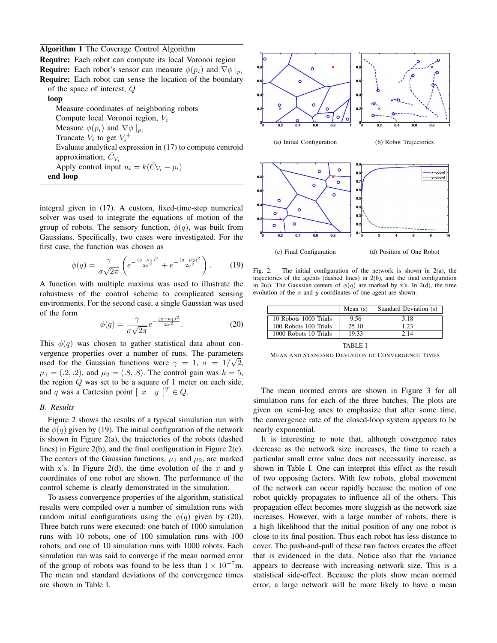**Algorithm 1** The Coverage Control Algorithm

**Require:** Each robot can compute its local Voronoi region **Require:** Each robot's sensor can measure  $\phi(p_i)$  and  $\nabla \phi|_{p_i}$ **Require:** Each robot can sense the location of the boundary of the space of interest, Q **loop** Measure coordinates of neighboring robots Compute local Voronoi region,  $V_i$ Measure  $\phi(p_i)$  and  $\nabla \phi |_{p_i}$ Truncate  $V_i$  to get  $V_i^+$ Evaluate analytical expression in (17) to compute centroid approximation,  $\hat{C}_{V_i}$ Apply control input  $u_i = k(\hat{C}_{V_i} - p_i)$ **end loop**

integral given in (17). A custom, fixed-time-step numerical solver was used to integrate the equations of motion of the group of robots. The sensory function,  $\phi(q)$ , was built from Gaussians. Specifically, two cases were investigated. For the first case, the function was chosen as

$$
\phi(q) = \frac{\gamma}{\sigma\sqrt{2\pi}} \left( e^{-\frac{(q-\mu_1)^2}{2\sigma^2}} + e^{-\frac{(q-\mu_2)^2}{2\sigma^2}} \right). \tag{19}
$$

A function with multiple maxima was used to illustrate the robustness of the control scheme to complicated sensing environments. For the second case, a single Gaussian was used of the form

$$
\phi(q) = \frac{\gamma}{\sigma\sqrt{2\pi}}e^{-\frac{(q-\mu_1)^2}{2\sigma^2}}.\tag{20}
$$

This  $\phi(q)$  was chosen to gather statistical data about convergence properties over a number of runs. The parameters used for the Gaussian functions were  $\gamma = 1$ ,  $\sigma = 1/\sqrt{2}$ ,  $\mu_1 = (.2, .2),$  and  $\mu_2 = (.8, .8).$  The control gain was  $k = 5$ , the region  $Q$  was set to be a square of 1 meter on each side, and q was a Cartesian point  $\begin{bmatrix} x & y \end{bmatrix}^T \in Q$ .

## *B. Results*

Figure 2 shows the results of a typical simulation run with the  $\phi(q)$  given by (19). The initial configuration of the network is shown in Figure 2(a), the trajectories of the robots (dashed lines) in Figure 2(b), and the final configuration in Figure 2(c). The centers of the Gaussian functions,  $\mu_1$  and  $\mu_2$ , are marked with x's. In Figure 2(d), the time evolution of the x and y coordinates of one robot are shown. The performance of the control scheme is clearly demonstrated in the simulation.

To assess convergence properties of the algorithm, statistical results were compiled over a number of simulation runs with random initial configurations using the  $\phi(q)$  given by (20). Three batch runs were executed: one batch of 1000 simulation runs with 10 robots, one of 100 simulation runs with 100 robots, and one of 10 simulation runs with 1000 robots. Each simulation run was said to converge if the mean normed error of the group of robots was found to be less than  $1 \times 10^{-7}$ m. The mean and standard deviations of the convergence times are shown in Table I.





Fig. 2. The initial configuration of the network is shown in  $2(a)$ , the trajectories of the agents (dashed lines) in 2(b), and the final configuration in 2(c). The Gaussian centers of  $\phi(q)$  are marked by x's. In 2(d), the time evolution of the  $x$  and  $y$  coordinates of one agent are shown.

|                       | Mean $(s)$ | Standard Deviation (s) |
|-----------------------|------------|------------------------|
| 10 Robots 1000 Trials | 9.56       | 3.18                   |
| 100 Robots 100 Trials | 25.10      | 1.23                   |
| 1000 Robots 10 Trials | 19.33      | 2.14                   |

TABLE I

MEAN AND STANDARD DEVIATION OF CONVERGENCE TIMES

The mean normed errors are shown in Figure 3 for all simulation runs for each of the three batches. The plots are given on semi-log axes to emphasize that after some time, the convergence rate of the closed-loop system appears to be nearly exponential.

It is interesting to note that, although covergence rates decrease as the network size increases, the time to reach a particular small error value does not necessarily increase, as shown in Table I. One can interpret this effect as the result of two opposing factors. With few robots, global movement of the network can occur rapidly because the motion of one robot quickly propagates to influence all of the others. This propagation effect becomes more sluggish as the network size increases. However, with a large number of robots, there is a high likelihood that the initial position of any one robot is close to its final position. Thus each robot has less distance to cover. The push-and-pull of these two factors creates the effect that is evidenced in the data. Notice also that the variance appears to decrease with increasing network size. This is a statistical side-effect. Because the plots show mean normed error, a large network will be more likely to have a mean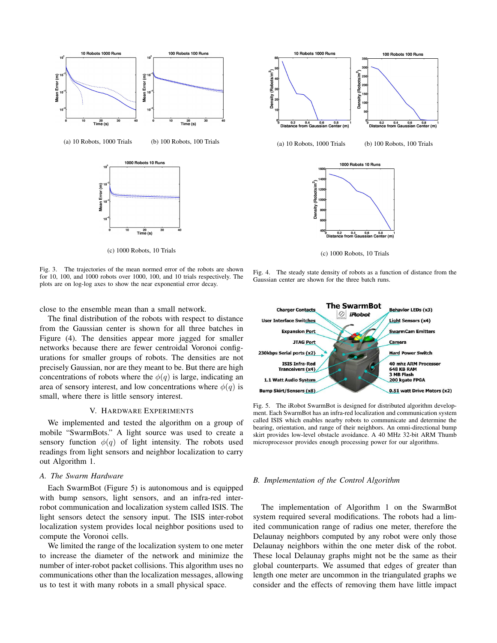

Fig. 3. The trajectories of the mean normed error of the robots are shown for 10, 100, and 1000 robots over 1000, 100, and 10 trials respectively. The plots are on log-log axes to show the near exponential error decay.

close to the ensemble mean than a small network.

The final distribution of the robots with respect to distance from the Gaussian center is shown for all three batches in Figure (4). The densities appear more jagged for smaller networks because there are fewer centroidal Voronoi configurations for smaller groups of robots. The densities are not precisely Gaussian, nor are they meant to be. But there are high concentrations of robots where the  $\phi(q)$  is large, indicating an area of sensory interest, and low concentrations where  $\phi(q)$  is small, where there is little sensory interest.

#### V. HARDWARE EXPERIMENTS

We implemented and tested the algorithm on a group of mobile "SwarmBots." A light source was used to create a sensory function  $\phi(q)$  of light intensity. The robots used readings from light sensors and neighbor localization to carry out Algorithm 1.

# *A. The Swarm Hardware*

Each SwarmBot (Figure 5) is autonomous and is equipped with bump sensors, light sensors, and an infra-red interrobot communication and localization system called ISIS. The light sensors detect the sensory input. The ISIS inter-robot localization system provides local neighbor positions used to compute the Voronoi cells.

We limited the range of the localization system to one meter to increase the diameter of the network and minimize the number of inter-robot packet collisions. This algorithm uses no communications other than the localization messages, allowing us to test it with many robots in a small physical space.



(c) 1000 Robots, 10 Trials

Fig. 4. The steady state density of robots as a function of distance from the Gaussian center are shown for the three batch runs.



Fig. 5. The iRobot SwarmBot is designed for distributed algorithm development. Each SwarmBot has an infra-red localization and communication system called ISIS which enables nearby robots to communicate and determine the bearing, orientation, and range of their neighbors. An omni-directional bump skirt provides low-level obstacle avoidance. A 40 MHz 32-bit ARM Thumb microprocessor provides enough processing power for our algorithms.

#### *B. Implementation of the Control Algorithm*

The implementation of Algorithm 1 on the SwarmBot system required several modifications. The robots had a limited communication range of radius one meter, therefore the Delaunay neighbors computed by any robot were only those Delaunay neighbors within the one meter disk of the robot. These local Delaunay graphs might not be the same as their global counterparts. We assumed that edges of greater than length one meter are uncommon in the triangulated graphs we consider and the effects of removing them have little impact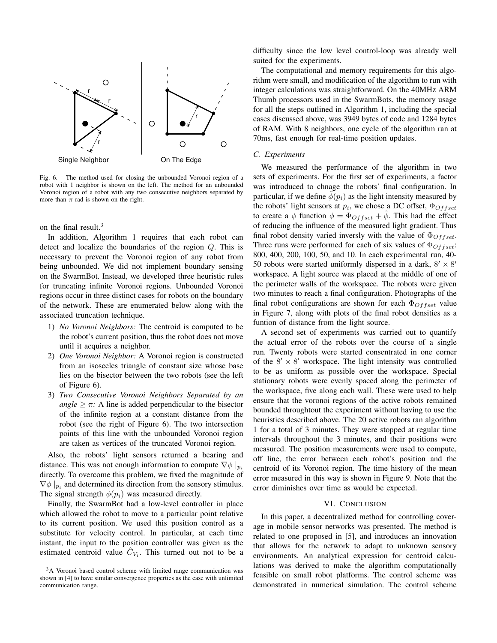

Fig. 6. The method used for closing the unbounded Voronoi region of a robot with 1 neighbor is shown on the left. The method for an unbounded Voronoi region of a robot with any two consecutive neighbors separated by more than  $\pi$  rad is shown on the right.

on the final result.<sup>3</sup>

In addition, Algorithm 1 requires that each robot can detect and localize the boundaries of the region Q. This is necessary to prevent the Voronoi region of any robot from being unbounded. We did not implement boundary sensing on the SwarmBot. Instead, we developed three heuristic rules for truncating infinite Voronoi regions. Unbounded Voronoi regions occur in three distinct cases for robots on the boundary of the network. These are enumerated below along with the associated truncation technique.

- 1) *No Voronoi Neighbors:* The centroid is computed to be the robot's current position, thus the robot does not move until it acquires a neighbor.
- 2) *One Voronoi Neighbor:* A Voronoi region is constructed from an isosceles triangle of constant size whose base lies on the bisector between the two robots (see the left of Figure 6).
- 3) *Two Consecutive Voronoi Neighbors Separated by an angle*  $\geq \pi$ : A line is added perpendicular to the bisector of the infinite region at a constant distance from the robot (see the right of Figure 6). The two intersection points of this line with the unbounded Voronoi region are taken as vertices of the truncated Voronoi region.

Also, the robots' light sensors returned a bearing and distance. This was not enough information to compute  $\nabla \phi |_{p_i}$ directly. To overcome this problem, we fixed the magnitude of  $\nabla \phi |_{p_i}$  and determined its direction from the sensory stimulus. The signal strength  $\phi(p_i)$  was measured directly.

Finally, the SwarmBot had a low-level controller in place which allowed the robot to move to a particular point relative to its current position. We used this position control as a substitute for velocity control. In particular, at each time instant, the input to the position controller was given as the estimated centroid value  $\hat{C}_{V_i}$ . This turned out not to be a

difficulty since the low level control-loop was already well suited for the experiments.

The computational and memory requirements for this algorithm were small, and modification of the algorithm to run with integer calculations was straightforward. On the 40MHz ARM Thumb processors used in the SwarmBots, the memory usage for all the steps outlined in Algorithm 1, including the special cases discussed above, was 3949 bytes of code and 1284 bytes of RAM. With 8 neighbors, one cycle of the algorithm ran at 70ms, fast enough for real-time position updates.

#### *C. Experiments*

We measured the performance of the algorithm in two sets of experiments. For the first set of experiments, a factor was introduced to chnage the robots' final configuration. In particular, if we define  $\phi(p_i)$  as the light intensity measured by the robots' light sensors at  $p_i$ , we chose a DC offset,  $\Phi_{Offset}$ to create a  $\phi$  function  $\phi = \Phi_{Offset} + \phi$ . This had the effect of reducing the influence of the measured light gradient. Thus final robot density varied inversly with the value of  $\Phi$ Offset. Three runs were performed for each of six values of  $\Phi_{Offset}$ : 800, 400, 200, 100, 50, and 10. In each experimental run, 40- 50 robots were started uniformly dispersed in a dark,  $8' \times 8'$ workspace. A light source was placed at the middle of one of the perimeter walls of the workspace. The robots were given two minutes to reach a final configuration. Photographs of the final robot configurations are shown for each  $\Phi$ <sub>Offset</sub> value in Figure 7, along with plots of the final robot densities as a funtion of distance from the light source.

A second set of experiments was carried out to quantify the actual error of the robots over the course of a single run. Twenty robots were started consentrated in one corner of the  $8' \times 8'$  workspace. The light intensity was controlled to be as uniform as possible over the workspace. Special stationary robots were evenly spaced along the perimeter of the workspace, five along each wall. These were used to help ensure that the voronoi regions of the active robots remained bounded throughtout the experiment without having to use the heuristics described above. The 20 active robots ran algorithm 1 for a total of 3 minutes. They were stopped at regular time intervals throughout the 3 minutes, and their positions were measured. The position measurements were used to compute, off line, the error between each robot's position and the centroid of its Voronoi region. The time history of the mean error measured in this way is shown in Figure 9. Note that the error diminishes over time as would be expected.

# VI. CONCLUSION

In this paper, a decentralized method for controlling coverage in mobile sensor networks was presented. The method is related to one proposed in [5], and introduces an innovation that allows for the network to adapt to unknown sensory environments. An analytical expression for centroid calculations was derived to make the algorithm computationally feasible on small robot platforms. The control scheme was demonstrated in numerical simulation. The control scheme

<sup>&</sup>lt;sup>3</sup>A Voronoi based control scheme with limited range communication was shown in [4] to have similar convergence properties as the case with unlimited communication range.